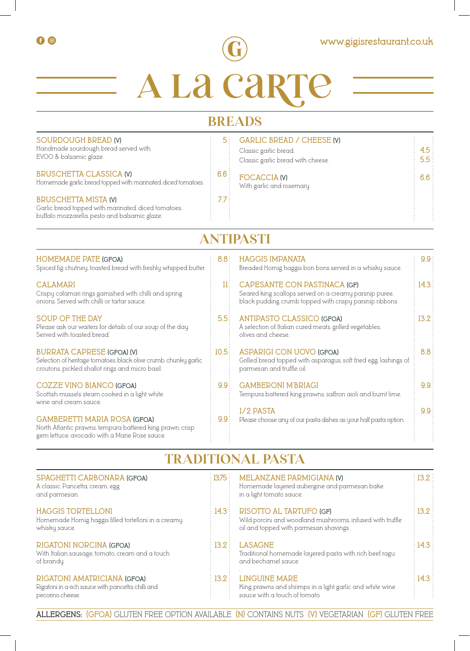

# **A La Carte**

# **BREADS**

| <b>SOURDOUGH BREAD (V)</b><br>Handmade sourdough bread served with<br>EVOO & balsamic glaze.<br><b>BRUSCHETTA CLASSICA (V)</b><br>Homemade garlic bread topped with marinated, diced tomatoes.<br><b>BRUSCHETTA MISTA (V)</b><br>Garlic bread topped with marinated, diced tomatoes,<br>buffalo mozzarella, pesto and balsamic glaze. | 5:<br>6.6:<br>7.7: | <b>GARLIC BREAD / CHEESE (V)</b><br>Classic garlic bread.<br>Classic garlic bread with cheese.<br><b>FOCACCIA (V)</b><br>With garlic and rosemary. | 4.5<br>5.5<br>6.6 |  |  |  |
|---------------------------------------------------------------------------------------------------------------------------------------------------------------------------------------------------------------------------------------------------------------------------------------------------------------------------------------|--------------------|----------------------------------------------------------------------------------------------------------------------------------------------------|-------------------|--|--|--|
| ANTIPASTI                                                                                                                                                                                                                                                                                                                             |                    |                                                                                                                                                    |                   |  |  |  |
| <b>HOMEMADE PATE (GFOA)</b><br>Spiced fig chutney, toasted bread with freshly whipped butter.                                                                                                                                                                                                                                         | 8.8 <sup>3</sup>   | <b>HAGGIS IMPANATA</b><br>Breaded Hornig haggis bon bons served in a whisky sauce.                                                                 | 9.9:              |  |  |  |
| <b>CALAMARI</b><br>Crispy calamari rings garnished with chilli and spring<br>onions. Served with chilli or tartar sauce.                                                                                                                                                                                                              | 11:                | CAPESANTE CON PASTINACA (GF)<br>Seared king scallops served on a creamy parsnip puree.<br>black pudding crumb topped with crispy parsnip ribbons.  | 14.3              |  |  |  |
| <b>SOUP OF THE DAY</b><br>Please ask our waiters for details of our soup of the day.<br>Served with toasted bread                                                                                                                                                                                                                     | 5.5:               | <b>ANTIPASTO CLASSICO (GFOA)</b><br>A selection of Italian cured meats, grilled vegetables,<br>olives and cheese                                   | 13.2:             |  |  |  |
| <b>BURRATA CAPRESE (GFOA) (V)</b><br>Selection of heritage tomatoes, black olive crumb, chunky garlic<br>croutons, pickled shallot rings and micro basil.                                                                                                                                                                             | 10.5:              | <b>ASPARIGI CON UOVO (GFOA)</b><br>Grilled bread topped with asparagus, soft fried egg, lashings of<br>parmesan and truffle oil.                   | 8.8 <sup>3</sup>  |  |  |  |
| <b>COZZE VINO BIANCO (GFOA)</b><br>Scottish mussels steam cooked in a light white<br>wine and cream sauce.                                                                                                                                                                                                                            | 9.9:               | <b>GAMBERONI M'BRIAGI</b><br>Tempura battered king prawns, saffron aioli and burnt lime.                                                           | 9.9:              |  |  |  |
| <b>GAMBERETTI MARIA ROSA (GFOA)</b>                                                                                                                                                                                                                                                                                                   | 9.9:               | 1/2 PASTA<br>Please choose any of our pasta dishes as your half pasta option.                                                                      | 9.9:              |  |  |  |

## **TRADITIONAL PASTA**

North Atlantic prawns, tempura battered king prawn, crisp

gem lettuce, avocado with a Marie Rose sauce.

| SPAGHETTI CARBONARA (GFOA)<br>A classic. Pancetta, cream, egg<br>and parmesan.                        | 1375              | MELANZANE PARMIGIANA (V)<br>Homemade layered aubergine and parmesan bake<br>in a light tomato sauce.                                  | $\frac{13.2}{2}$ |
|-------------------------------------------------------------------------------------------------------|-------------------|---------------------------------------------------------------------------------------------------------------------------------------|------------------|
| <b>HAGGIS TORTELLONI</b><br>Homemade Hornig haggis filled tortelloni in a creamy<br>whisky sauce.     | 14.3              | <b>RISOTTO AL TARTUFO (GF)</b><br>Wild porcini and woodland mushrooms, infused with truffle<br>oil and topped with parmesan shavings. | $\frac{13.2}{2}$ |
| RIGATONI NORCINA (GFOA)<br>With Italian sausage, tomato, cream and a touch<br>of brandy.              | $\frac{13.2}{2}$  | LASAGNE<br>Traditional homemade layered pasta with rich beef ragu<br>and bechamel sauce.                                              | $\pm 14.3$       |
| RIGATONI AMATRICIANA (GFOA)<br>Rigatoni in a rich sauce with pancetta, chilli and<br>pecorino cheese. | $\therefore$ 13.2 | <b>LINGUINE MARE</b><br>King prawns and shrimps in a light garlic and white wine<br>sauce with a touch of tomato.                     | $\pm 14.3$       |

**ALLERGENS: (GFOA)** GLUTEN FREE OPTION AVAILABLE **(N)** CONTAINS NUTS **(V)** VEGETARIAN **(GF)** GLUTEN FREE